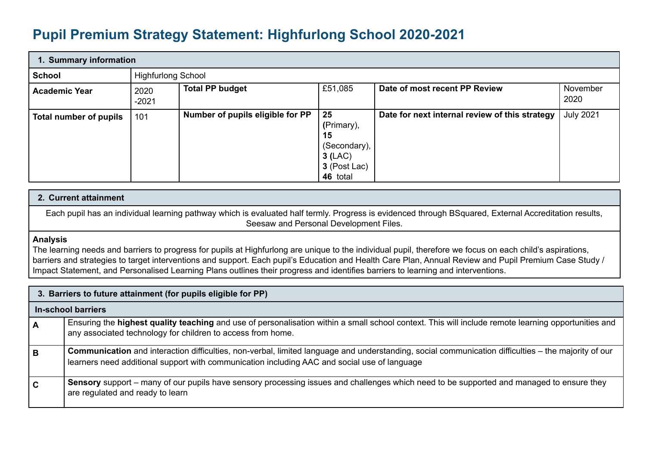## **Pupil Premium Strategy Statement: Highfurlong School 2020-2021**

| 1. Summary information |                 |                                  |                                                                              |                                                |                  |  |  |
|------------------------|-----------------|----------------------------------|------------------------------------------------------------------------------|------------------------------------------------|------------------|--|--|
| School                 |                 | <b>Highfurlong School</b>        |                                                                              |                                                |                  |  |  |
| <b>Academic Year</b>   | 2020<br>$-2021$ | <b>Total PP budget</b>           | £51,085                                                                      | Date of most recent PP Review                  | November<br>2020 |  |  |
| Total number of pupils | 101             | Number of pupils eligible for PP | 25<br>(Primary),<br>15<br>(Secondary),<br>3(LAC)<br>3 (Post Lac)<br>46 total | Date for next internal review of this strategy | <b>July 2021</b> |  |  |

## **2. Current attainment**

Each pupil has an individual learning pathway which is evaluated half termly. Progress is evidenced through BSquared, External Accreditation results, Seesaw and Personal Development Files.

## **Analysis**

The learning needs and barriers to progress for pupils at Highfurlong are unique to the individual pupil, therefore we focus on each child's aspirations, barriers and strategies to target interventions and support. Each pupil's Education and Health Care Plan, Annual Review and Pupil Premium Case Study / Impact Statement, and Personalised Learning Plans outlines their progress and identifies barriers to learning and interventions.

|     | 3. Barriers to future attainment (for pupils eligible for PP)                                                                                                                                                                                       |  |  |  |  |
|-----|-----------------------------------------------------------------------------------------------------------------------------------------------------------------------------------------------------------------------------------------------------|--|--|--|--|
|     | <b>In-school barriers</b>                                                                                                                                                                                                                           |  |  |  |  |
| A   | Ensuring the highest quality teaching and use of personalisation within a small school context. This will include remote learning opportunities and<br>any associated technology for children to access from home.                                  |  |  |  |  |
| l B | Communication and interaction difficulties, non-verbal, limited language and understanding, social communication difficulties – the majority of our<br>learners need additional support with communication including AAC and social use of language |  |  |  |  |
| l c | Sensory support – many of our pupils have sensory processing issues and challenges which need to be supported and managed to ensure they<br>are regulated and ready to learn                                                                        |  |  |  |  |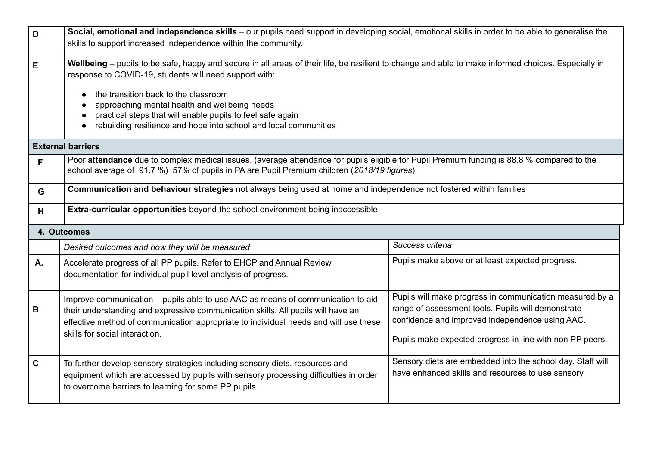| D            | Social, emotional and independence skills - our pupils need support in developing social, emotional skills in order to be able to generalise the                                                                                                                                                                                                                                                                                         |                                                                                                                                                                                                                               |  |  |  |
|--------------|------------------------------------------------------------------------------------------------------------------------------------------------------------------------------------------------------------------------------------------------------------------------------------------------------------------------------------------------------------------------------------------------------------------------------------------|-------------------------------------------------------------------------------------------------------------------------------------------------------------------------------------------------------------------------------|--|--|--|
|              | skills to support increased independence within the community.                                                                                                                                                                                                                                                                                                                                                                           |                                                                                                                                                                                                                               |  |  |  |
| E            | Wellbeing – pupils to be safe, happy and secure in all areas of their life, be resilient to change and able to make informed choices. Especially in<br>response to COVID-19, students will need support with:<br>the transition back to the classroom<br>approaching mental health and wellbeing needs<br>practical steps that will enable pupils to feel safe again<br>rebuilding resilience and hope into school and local communities |                                                                                                                                                                                                                               |  |  |  |
|              | <b>External barriers</b>                                                                                                                                                                                                                                                                                                                                                                                                                 |                                                                                                                                                                                                                               |  |  |  |
| F            | Poor attendance due to complex medical issues. (average attendance for pupils eligible for Pupil Premium funding is 88.8 % compared to the<br>school average of 91.7 %) 57% of pupils in PA are Pupil Premium children (2018/19 figures)                                                                                                                                                                                                 |                                                                                                                                                                                                                               |  |  |  |
| G            | Communication and behaviour strategies not always being used at home and independence not fostered within families                                                                                                                                                                                                                                                                                                                       |                                                                                                                                                                                                                               |  |  |  |
| H            | <b>Extra-curricular opportunities</b> beyond the school environment being inaccessible                                                                                                                                                                                                                                                                                                                                                   |                                                                                                                                                                                                                               |  |  |  |
|              | 4. Outcomes                                                                                                                                                                                                                                                                                                                                                                                                                              |                                                                                                                                                                                                                               |  |  |  |
|              | Desired outcomes and how they will be measured                                                                                                                                                                                                                                                                                                                                                                                           | Success criteria                                                                                                                                                                                                              |  |  |  |
| A.           | Accelerate progress of all PP pupils. Refer to EHCP and Annual Review<br>documentation for individual pupil level analysis of progress.                                                                                                                                                                                                                                                                                                  | Pupils make above or at least expected progress.                                                                                                                                                                              |  |  |  |
| В            | Improve communication – pupils able to use AAC as means of communication to aid<br>their understanding and expressive communication skills. All pupils will have an<br>effective method of communication appropriate to individual needs and will use these<br>skills for social interaction.                                                                                                                                            | Pupils will make progress in communication measured by a<br>range of assessment tools. Pupils will demonstrate<br>confidence and improved independence using AAC.<br>Pupils make expected progress in line with non PP peers. |  |  |  |
| $\mathbf{C}$ | To further develop sensory strategies including sensory diets, resources and<br>equipment which are accessed by pupils with sensory processing difficulties in order<br>to overcome barriers to learning for some PP pupils                                                                                                                                                                                                              | Sensory diets are embedded into the school day. Staff will<br>have enhanced skills and resources to use sensory                                                                                                               |  |  |  |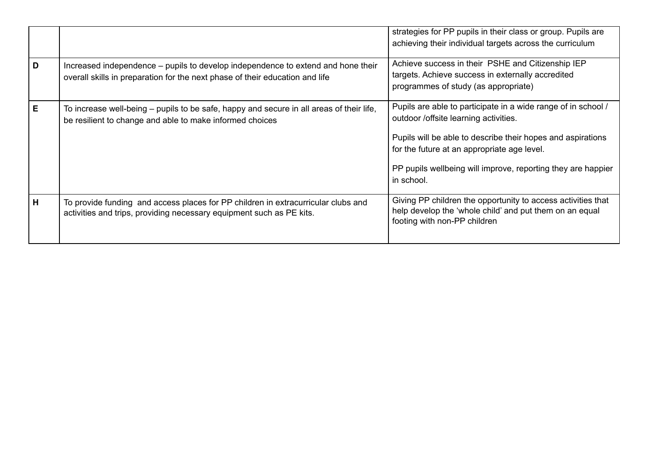|   |                                                                                                                                                                  | strategies for PP pupils in their class or group. Pupils are<br>achieving their individual targets across the curriculum                                                                                                                                                                           |
|---|------------------------------------------------------------------------------------------------------------------------------------------------------------------|----------------------------------------------------------------------------------------------------------------------------------------------------------------------------------------------------------------------------------------------------------------------------------------------------|
| D | Increased independence – pupils to develop independence to extend and hone their<br>overall skills in preparation for the next phase of their education and life | Achieve success in their PSHE and Citizenship IEP<br>targets. Achieve success in externally accredited<br>programmes of study (as appropriate)                                                                                                                                                     |
| Е | To increase well-being – pupils to be safe, happy and secure in all areas of their life,<br>be resilient to change and able to make informed choices             | Pupils are able to participate in a wide range of in school /<br>outdoor /offsite learning activities.<br>Pupils will be able to describe their hopes and aspirations<br>for the future at an appropriate age level.<br>PP pupils wellbeing will improve, reporting they are happier<br>in school. |
| H | To provide funding and access places for PP children in extracurricular clubs and<br>activities and trips, providing necessary equipment such as PE kits.        | Giving PP children the opportunity to access activities that<br>help develop the 'whole child' and put them on an equal<br>footing with non-PP children                                                                                                                                            |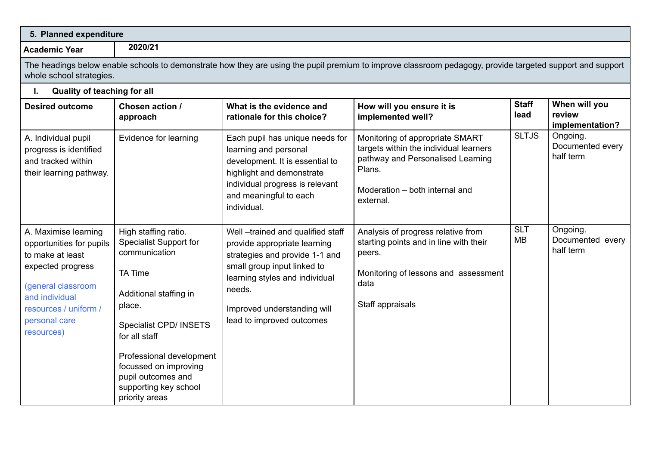| 5. Planned expenditure                                                                                                                                                                    |                                                                                                                                                                                                                                                                                               |                                                                                                                                                                                                                                           |                                                                                                                                                                         |                         |                                            |
|-------------------------------------------------------------------------------------------------------------------------------------------------------------------------------------------|-----------------------------------------------------------------------------------------------------------------------------------------------------------------------------------------------------------------------------------------------------------------------------------------------|-------------------------------------------------------------------------------------------------------------------------------------------------------------------------------------------------------------------------------------------|-------------------------------------------------------------------------------------------------------------------------------------------------------------------------|-------------------------|--------------------------------------------|
| <b>Academic Year</b>                                                                                                                                                                      | 2020/21                                                                                                                                                                                                                                                                                       |                                                                                                                                                                                                                                           |                                                                                                                                                                         |                         |                                            |
| whole school strategies.                                                                                                                                                                  |                                                                                                                                                                                                                                                                                               |                                                                                                                                                                                                                                           | The headings below enable schools to demonstrate how they are using the pupil premium to improve classroom pedagogy, provide targeted support and support               |                         |                                            |
| Quality of teaching for all<br>I.                                                                                                                                                         |                                                                                                                                                                                                                                                                                               |                                                                                                                                                                                                                                           |                                                                                                                                                                         |                         |                                            |
| <b>Desired outcome</b>                                                                                                                                                                    | Chosen action /<br>approach                                                                                                                                                                                                                                                                   | What is the evidence and<br>rationale for this choice?                                                                                                                                                                                    | How will you ensure it is<br>implemented well?                                                                                                                          | <b>Staff</b><br>lead    | When will you<br>review<br>implementation? |
| A. Individual pupil<br>progress is identified<br>and tracked within<br>their learning pathway.                                                                                            | Evidence for learning                                                                                                                                                                                                                                                                         | Each pupil has unique needs for<br>learning and personal<br>development. It is essential to<br>highlight and demonstrate<br>individual progress is relevant<br>and meaningful to each<br>individual.                                      | Monitoring of appropriate SMART<br>targets within the individual learners<br>pathway and Personalised Learning<br>Plans.<br>Moderation - both internal and<br>external. | <b>SLTJS</b>            | Ongoing.<br>Documented every<br>half term  |
| A. Maximise learning<br>opportunities for pupils<br>to make at least<br>expected progress<br>(general classroom<br>and individual<br>resources / uniform /<br>personal care<br>resources) | High staffing ratio.<br><b>Specialist Support for</b><br>communication<br><b>TA Time</b><br>Additional staffing in<br>place.<br>Specialist CPD/ INSETS<br>for all staff<br>Professional development<br>focussed on improving<br>pupil outcomes and<br>supporting key school<br>priority areas | Well-trained and qualified staff<br>provide appropriate learning<br>strategies and provide 1-1 and<br>small group input linked to<br>learning styles and individual<br>needs.<br>Improved understanding will<br>lead to improved outcomes | Analysis of progress relative from<br>starting points and in line with their<br>peers.<br>Monitoring of lessons and assessment<br>data<br>Staff appraisals              | <b>SLT</b><br><b>MB</b> | Ongoing.<br>Documented every<br>half term  |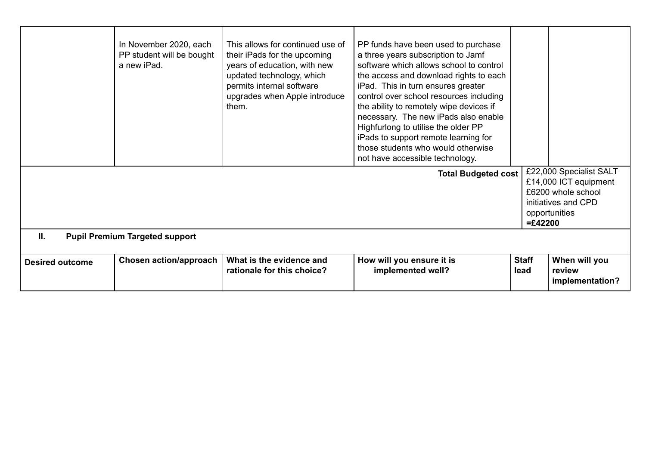|                        | In November 2020, each<br>PP student will be bought<br>a new iPad. | This allows for continued use of<br>their iPads for the upcoming<br>years of education, with new<br>updated technology, which<br>permits internal software<br>upgrades when Apple introduce<br>them. | PP funds have been used to purchase<br>a three years subscription to Jamf<br>software which allows school to control<br>the access and download rights to each<br>iPad. This in turn ensures greater<br>control over school resources including<br>the ability to remotely wipe devices if<br>necessary. The new iPads also enable<br>Highfurlong to utilise the older PP<br>iPads to support remote learning for<br>those students who would otherwise<br>not have accessible technology.<br><b>Total Budgeted cost</b> |                      | £22,000 Specialist SALT                    |
|------------------------|--------------------------------------------------------------------|------------------------------------------------------------------------------------------------------------------------------------------------------------------------------------------------------|--------------------------------------------------------------------------------------------------------------------------------------------------------------------------------------------------------------------------------------------------------------------------------------------------------------------------------------------------------------------------------------------------------------------------------------------------------------------------------------------------------------------------|----------------------|--------------------------------------------|
|                        |                                                                    |                                                                                                                                                                                                      |                                                                                                                                                                                                                                                                                                                                                                                                                                                                                                                          |                      | £14,000 ICT equipment                      |
|                        |                                                                    |                                                                                                                                                                                                      |                                                                                                                                                                                                                                                                                                                                                                                                                                                                                                                          |                      | £6200 whole school                         |
|                        |                                                                    |                                                                                                                                                                                                      |                                                                                                                                                                                                                                                                                                                                                                                                                                                                                                                          |                      | initiatives and CPD                        |
|                        |                                                                    |                                                                                                                                                                                                      |                                                                                                                                                                                                                                                                                                                                                                                                                                                                                                                          |                      | opportunities                              |
|                        |                                                                    |                                                                                                                                                                                                      |                                                                                                                                                                                                                                                                                                                                                                                                                                                                                                                          | $=£42200$            |                                            |
| II.                    | <b>Pupil Premium Targeted support</b>                              |                                                                                                                                                                                                      |                                                                                                                                                                                                                                                                                                                                                                                                                                                                                                                          |                      |                                            |
|                        |                                                                    |                                                                                                                                                                                                      |                                                                                                                                                                                                                                                                                                                                                                                                                                                                                                                          |                      |                                            |
| <b>Desired outcome</b> | Chosen action/approach                                             | What is the evidence and<br>rationale for this choice?                                                                                                                                               | How will you ensure it is<br>implemented well?                                                                                                                                                                                                                                                                                                                                                                                                                                                                           | <b>Staff</b><br>lead | When will you<br>review<br>implementation? |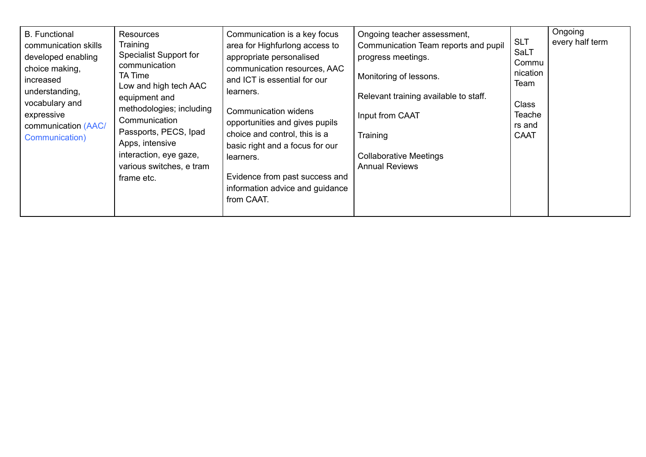| <b>B.</b> Functional<br>communication skills<br>developed enabling<br>choice making,<br>increased<br>understanding,<br>vocabulary and<br>expressive<br>communication (AAC/<br>Communication) | <b>Resources</b><br>Training<br><b>Specialist Support for</b><br>communication<br><b>TA Time</b><br>Low and high tech AAC<br>equipment and<br>methodologies; including<br>Communication<br>Passports, PECS, Ipad<br>Apps, intensive<br>interaction, eye gaze,<br>various switches, e tram<br>frame etc. | Communication is a key focus<br>area for Highfurlong access to<br>appropriate personalised<br>communication resources, AAC<br>and ICT is essential for our<br>learners.<br><b>Communication widens</b><br>opportunities and gives pupils<br>choice and control, this is a<br>basic right and a focus for our<br>learners.<br>Evidence from past success and<br>information advice and guidance<br>from CAAT. | Ongoing teacher assessment,<br>Communication Team reports and pupil<br>progress meetings.<br>Monitoring of lessons.<br>Relevant training available to staff.<br>Input from CAAT<br>Training<br><b>Collaborative Meetings</b><br><b>Annual Reviews</b> | <b>SLT</b><br><b>SaLT</b><br>Commu<br>nication<br>Team<br><b>Class</b><br>Teache<br>rs and<br><b>CAAT</b> | Ongoing<br>every half term |
|----------------------------------------------------------------------------------------------------------------------------------------------------------------------------------------------|---------------------------------------------------------------------------------------------------------------------------------------------------------------------------------------------------------------------------------------------------------------------------------------------------------|--------------------------------------------------------------------------------------------------------------------------------------------------------------------------------------------------------------------------------------------------------------------------------------------------------------------------------------------------------------------------------------------------------------|-------------------------------------------------------------------------------------------------------------------------------------------------------------------------------------------------------------------------------------------------------|-----------------------------------------------------------------------------------------------------------|----------------------------|
|----------------------------------------------------------------------------------------------------------------------------------------------------------------------------------------------|---------------------------------------------------------------------------------------------------------------------------------------------------------------------------------------------------------------------------------------------------------------------------------------------------------|--------------------------------------------------------------------------------------------------------------------------------------------------------------------------------------------------------------------------------------------------------------------------------------------------------------------------------------------------------------------------------------------------------------|-------------------------------------------------------------------------------------------------------------------------------------------------------------------------------------------------------------------------------------------------------|-----------------------------------------------------------------------------------------------------------|----------------------------|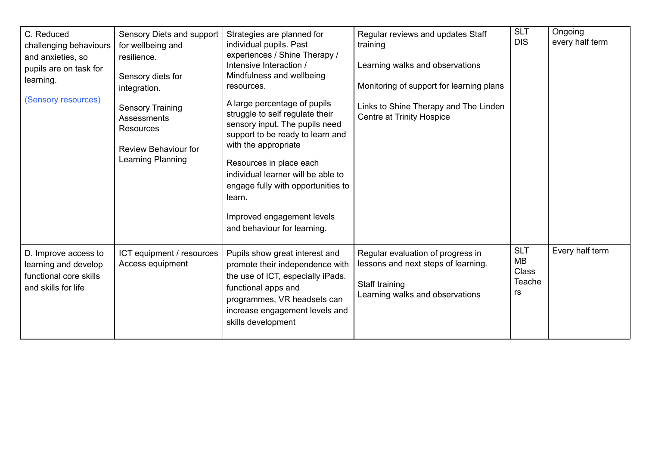| C. Reduced<br>challenging behaviours<br>and anxieties, so<br>pupils are on task for<br>learning.<br>(Sensory resources) | Sensory Diets and support<br>for wellbeing and<br>resilience.<br>Sensory diets for<br>integration.<br><b>Sensory Training</b><br><b>Assessments</b><br><b>Resources</b><br>Review Behaviour for<br>Learning Planning | Strategies are planned for<br>individual pupils. Past<br>experiences / Shine Therapy /<br>Intensive Interaction /<br>Mindfulness and wellbeing<br>resources.<br>A large percentage of pupils<br>struggle to self regulate their<br>sensory input. The pupils need<br>support to be ready to learn and<br>with the appropriate<br>Resources in place each<br>individual learner will be able to<br>engage fully with opportunities to<br>learn.<br>Improved engagement levels<br>and behaviour for learning. | Regular reviews and updates Staff<br>training<br>Learning walks and observations<br>Monitoring of support for learning plans<br>Links to Shine Therapy and The Linden<br><b>Centre at Trinity Hospice</b> | <b>SLT</b><br><b>DIS</b>                                | Ongoing<br>every half term |
|-------------------------------------------------------------------------------------------------------------------------|----------------------------------------------------------------------------------------------------------------------------------------------------------------------------------------------------------------------|-------------------------------------------------------------------------------------------------------------------------------------------------------------------------------------------------------------------------------------------------------------------------------------------------------------------------------------------------------------------------------------------------------------------------------------------------------------------------------------------------------------|-----------------------------------------------------------------------------------------------------------------------------------------------------------------------------------------------------------|---------------------------------------------------------|----------------------------|
| D. Improve access to<br>learning and develop<br>functional core skills<br>and skills for life                           | ICT equipment / resources<br>Access equipment                                                                                                                                                                        | Pupils show great interest and<br>promote their independence with<br>the use of ICT, especially iPads.<br>functional apps and<br>programmes, VR headsets can<br>increase engagement levels and<br>skills development                                                                                                                                                                                                                                                                                        | Regular evaluation of progress in<br>lessons and next steps of learning.<br>Staff training<br>Learning walks and observations                                                                             | <b>SLT</b><br>MB<br><b>Class</b><br><b>Teache</b><br>rs | Every half term            |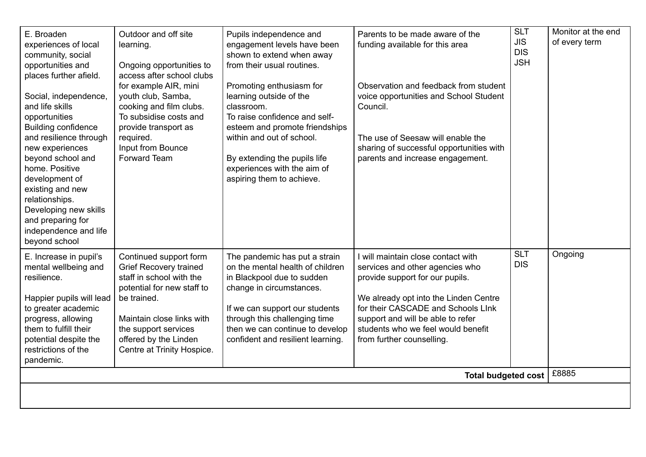| E. Broaden<br>experiences of local<br>community, social<br>opportunities and<br>places further afield.                                                                                                                           | Outdoor and off site<br>learning.<br>Ongoing opportunities to<br>access after school clubs<br>for example AIR, mini                                                                                                                          | Pupils independence and<br>engagement levels have been<br>shown to extend when away<br>from their usual routines.<br>Promoting enthusiasm for                                                                                                                          | Parents to be made aware of the<br>funding available for this area<br>Observation and feedback from student                                                                                                                                                                                     | <b>SLT</b><br><b>JIS</b><br><b>DIS</b><br><b>JSH</b> | Monitor at the end<br>of every term |
|----------------------------------------------------------------------------------------------------------------------------------------------------------------------------------------------------------------------------------|----------------------------------------------------------------------------------------------------------------------------------------------------------------------------------------------------------------------------------------------|------------------------------------------------------------------------------------------------------------------------------------------------------------------------------------------------------------------------------------------------------------------------|-------------------------------------------------------------------------------------------------------------------------------------------------------------------------------------------------------------------------------------------------------------------------------------------------|------------------------------------------------------|-------------------------------------|
| Social, independence,<br>and life skills<br>opportunities<br><b>Building confidence</b>                                                                                                                                          | youth club, Samba,<br>cooking and film clubs.<br>To subsidise costs and<br>provide transport as                                                                                                                                              | learning outside of the<br>classroom.<br>To raise confidence and self-<br>esteem and promote friendships                                                                                                                                                               | voice opportunities and School Student<br>Council.                                                                                                                                                                                                                                              |                                                      |                                     |
| and resilience through<br>new experiences<br>beyond school and<br>home. Positive<br>development of<br>existing and new<br>relationships.<br>Developing new skills<br>and preparing for<br>independence and life<br>beyond school | required.<br>Input from Bounce<br>Forward Team                                                                                                                                                                                               | within and out of school.<br>By extending the pupils life<br>experiences with the aim of<br>aspiring them to achieve.                                                                                                                                                  | The use of Seesaw will enable the<br>sharing of successful opportunities with<br>parents and increase engagement.                                                                                                                                                                               |                                                      |                                     |
| E. Increase in pupil's<br>mental wellbeing and<br>resilience.<br>Happier pupils will lead<br>to greater academic<br>progress, allowing<br>them to fulfill their<br>potential despite the<br>restrictions of the<br>pandemic.     | Continued support form<br><b>Grief Recovery trained</b><br>staff in school with the<br>potential for new staff to<br>be trained.<br>Maintain close links with<br>the support services<br>offered by the Linden<br>Centre at Trinity Hospice. | The pandemic has put a strain<br>on the mental health of children<br>in Blackpool due to sudden<br>change in circumstances.<br>If we can support our students<br>through this challenging time<br>then we can continue to develop<br>confident and resilient learning. | I will maintain close contact with<br>services and other agencies who<br>provide support for our pupils.<br>We already opt into the Linden Centre<br>for their CASCADE and Schools LInk<br>support and will be able to refer<br>students who we feel would benefit<br>from further counselling. | <b>SLT</b><br><b>DIS</b>                             | Ongoing                             |
| <b>Total budgeted cost</b>                                                                                                                                                                                                       |                                                                                                                                                                                                                                              |                                                                                                                                                                                                                                                                        |                                                                                                                                                                                                                                                                                                 |                                                      | £8885                               |
|                                                                                                                                                                                                                                  |                                                                                                                                                                                                                                              |                                                                                                                                                                                                                                                                        |                                                                                                                                                                                                                                                                                                 |                                                      |                                     |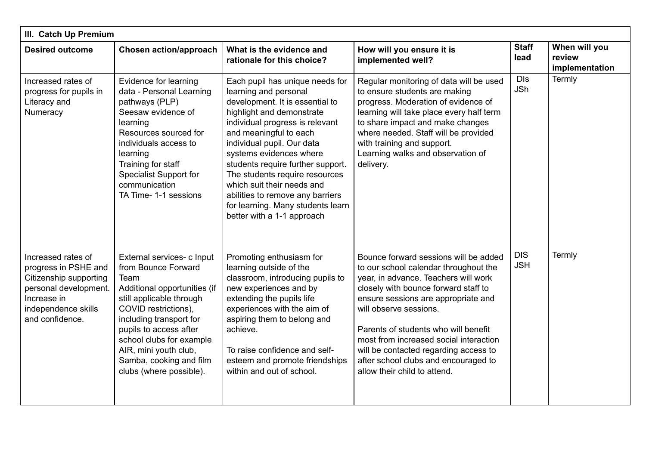| III. Catch Up Premium                                                                                                                                  |                                                                                                                                                                                                                                                                                                               |                                                                                                                                                                                                                                                                                                                                                                                                                                                            |                                                                                                                                                                                                                                                                                                                                                                                                                                    |                          |                                           |  |  |
|--------------------------------------------------------------------------------------------------------------------------------------------------------|---------------------------------------------------------------------------------------------------------------------------------------------------------------------------------------------------------------------------------------------------------------------------------------------------------------|------------------------------------------------------------------------------------------------------------------------------------------------------------------------------------------------------------------------------------------------------------------------------------------------------------------------------------------------------------------------------------------------------------------------------------------------------------|------------------------------------------------------------------------------------------------------------------------------------------------------------------------------------------------------------------------------------------------------------------------------------------------------------------------------------------------------------------------------------------------------------------------------------|--------------------------|-------------------------------------------|--|--|
| <b>Desired outcome</b>                                                                                                                                 | <b>Chosen action/approach</b>                                                                                                                                                                                                                                                                                 | What is the evidence and<br>rationale for this choice?                                                                                                                                                                                                                                                                                                                                                                                                     | How will you ensure it is<br>implemented well?                                                                                                                                                                                                                                                                                                                                                                                     | <b>Staff</b><br>lead     | When will you<br>review<br>implementation |  |  |
| Increased rates of<br>progress for pupils in<br>Literacy and<br>Numeracy                                                                               | Evidence for learning<br>data - Personal Learning<br>pathways (PLP)<br>Seesaw evidence of<br>learning<br>Resources sourced for<br>individuals access to<br>learning<br>Training for staff<br><b>Specialist Support for</b><br>communication<br>TA Time- 1-1 sessions                                          | Each pupil has unique needs for<br>learning and personal<br>development. It is essential to<br>highlight and demonstrate<br>individual progress is relevant<br>and meaningful to each<br>individual pupil. Our data<br>systems evidences where<br>students require further support.<br>The students require resources<br>which suit their needs and<br>abilities to remove any barriers<br>for learning. Many students learn<br>better with a 1-1 approach | Regular monitoring of data will be used<br>to ensure students are making<br>progress. Moderation of evidence of<br>learning will take place every half term<br>to share impact and make changes<br>where needed. Staff will be provided<br>with training and support.<br>Learning walks and observation of<br>delivery.                                                                                                            | <b>DIs</b><br><b>JSh</b> | Termly                                    |  |  |
| Increased rates of<br>progress in PSHE and<br>Citizenship supporting<br>personal development.<br>Increase in<br>independence skills<br>and confidence. | External services- c Input<br>from Bounce Forward<br>Team<br>Additional opportunities (if<br>still applicable through<br>COVID restrictions),<br>including transport for<br>pupils to access after<br>school clubs for example<br>AIR, mini youth club,<br>Samba, cooking and film<br>clubs (where possible). | Promoting enthusiasm for<br>learning outside of the<br>classroom, introducing pupils to<br>new experiences and by<br>extending the pupils life<br>experiences with the aim of<br>aspiring them to belong and<br>achieve.<br>To raise confidence and self-<br>esteem and promote friendships<br>within and out of school.                                                                                                                                   | Bounce forward sessions will be added<br>to our school calendar throughout the<br>year, in advance. Teachers will work<br>closely with bounce forward staff to<br>ensure sessions are appropriate and<br>will observe sessions.<br>Parents of students who will benefit<br>most from increased social interaction<br>will be contacted regarding access to<br>after school clubs and encouraged to<br>allow their child to attend. | <b>DIS</b><br><b>JSH</b> | Termly                                    |  |  |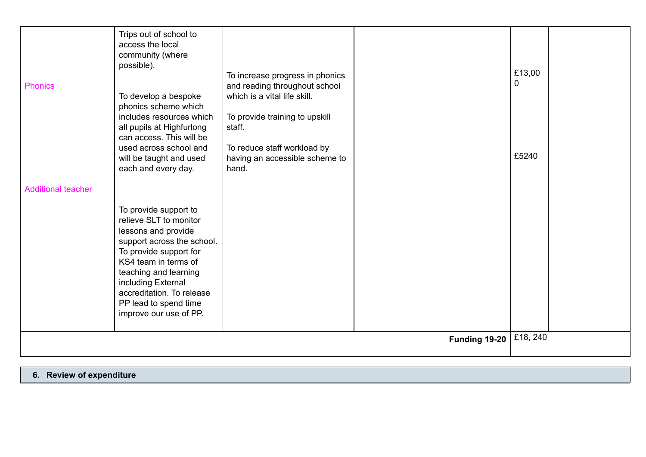| <b>Phonics</b>            | Trips out of school to<br>access the local<br>community (where<br>possible).<br>To develop a bespoke<br>phonics scheme which<br>includes resources which<br>all pupils at Highfurlong                                                                                                 | To increase progress in phonics<br>and reading throughout school<br>which is a vital life skill.<br>To provide training to upskill<br>staff. |               | £13,00<br>0 |  |
|---------------------------|---------------------------------------------------------------------------------------------------------------------------------------------------------------------------------------------------------------------------------------------------------------------------------------|----------------------------------------------------------------------------------------------------------------------------------------------|---------------|-------------|--|
|                           | can access. This will be<br>used across school and<br>will be taught and used<br>each and every day.                                                                                                                                                                                  | To reduce staff workload by<br>having an accessible scheme to<br>hand.                                                                       |               | £5240       |  |
| <b>Additional teacher</b> | To provide support to<br>relieve SLT to monitor<br>lessons and provide<br>support across the school.<br>To provide support for<br>KS4 team in terms of<br>teaching and learning<br>including External<br>accreditation. To release<br>PP lead to spend time<br>improve our use of PP. |                                                                                                                                              |               |             |  |
|                           |                                                                                                                                                                                                                                                                                       |                                                                                                                                              | Funding 19-20 | £18, 240    |  |

**6. Review of expenditure**